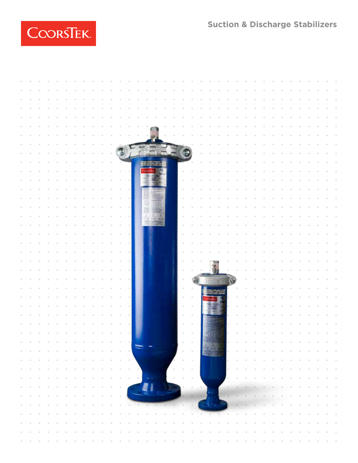